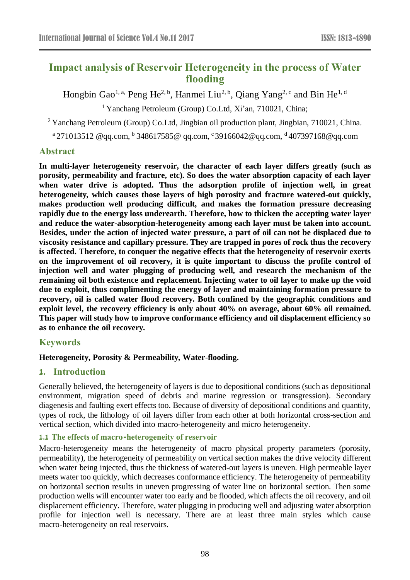# **Impact analysis of Reservoir Heterogeneity in the process of Water flooding**

Hongbin Gao<sup>1, a,</sup> Peng He<sup>2, b</sup>, Hanmei Liu<sup>2, b</sup>, Qiang Yang<sup>2, c</sup> and Bin He<sup>1, d</sup>

<sup>1</sup> Yanchang Petroleum (Group) Co.Ltd, Xi'an, 710021, China;

<sup>2</sup> Yanchang Petroleum (Group) Co.Ltd, Jingbian oil production plant, Jingbian, 710021, China.

 $^{\rm a}$ 271013512 @qq.com,  $^{\rm b}$ 348617585@ qq.com,  $^{\rm c}$ [39166042@qq.com,](mailto:39166042@qq.com)  $^{\rm d}$ 407397168@qq.com

### **Abstract**

**In multi-layer heterogeneity reservoir, the character of each layer differs greatly (such as porosity, permeability and fracture, etc). So does the water absorption capacity of each layer when water drive is adopted. Thus the adsorption profile of injection well, in great heterogeneity, which causes those layers of high porosity and fracture watered-out quickly, makes production well producing difficult, and makes the formation pressure decreasing rapidly due to the energy loss underearth. Therefore, how to thicken the accepting water layer and reduce the water-absorption-heterogeneity among each layer must be taken into account. Besides, under the action of injected water pressure, a part of oil can not be displaced due to viscosity resistance and capillary pressure. They are trapped in pores of rock thus the recovery is affected. Therefore, to conquer the negative effects that the heterogeneity of reservoir exerts on the improvement of oil recovery, it is quite important to discuss the profile control of injection well and water plugging of producing well, and research the mechanism of the remaining oil both existence and replacement. Injecting water to oil layer to make up the void due to exploit, thus complimenting the energy of layer and maintaining formation pressure to recovery, oil is called water flood recovery. Both confined by the geographic conditions and exploit level, the recovery efficiency is only about 40% on average, about 60% oil remained. This paper will study how to improve conformance efficiency and oil displacement efficiency so as to enhance the oil recovery.**

# **Keywords**

### **Heterogeneity, Porosity & Permeability, Water-flooding.**

### **1. Introduction**

Generally believed, the heterogeneity of layers is due to depositional conditions (such as depositional environment, migration speed of debris and marine regression or transgression). Secondary diagenesis and faulting exert effects too. Because of diversity of depositional conditions and quantity, types of rock, the lithology of oil layers differ from each other at both horizontal cross-section and vertical section, which divided into macro-heterogeneity and micro heterogeneity.

### **1.1 The effects of macro-heterogeneity of reservoir**

Macro-heterogeneity means the heterogeneity of macro physical property parameters (porosity, permeability), the heterogeneity of permeability on vertical section makes the drive velocity different when water being injected, thus the thickness of watered-out layers is uneven. High permeable layer meets water too quickly, which decreases conformance efficiency. The heterogeneity of permeability on horizontal section results in uneven progressing of water line on horizontal section. Then some production wells will encounter water too early and be flooded, which affects the oil recovery, and oil displacement efficiency. Therefore, water plugging in producing well and adjusting water absorption profile for injection well is necessary. There are at least three main styles which cause macro-heterogeneity on real reservoirs.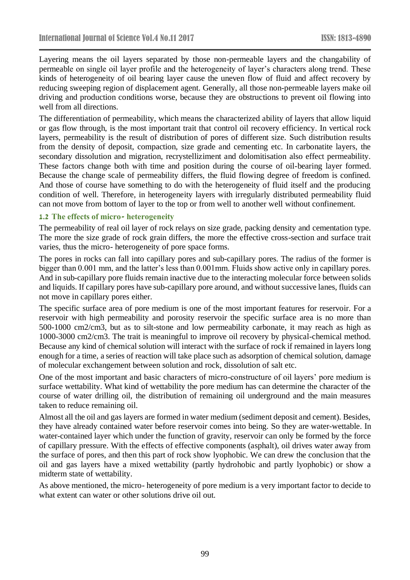Layering means the oil layers separated by those non-permeable layers and the changability of permeable on single oil layer profile and the heterogeneity of layer's characters along trend. These kinds of heterogeneity of oil bearing layer cause the uneven flow of fluid and affect recovery by reducing sweeping region of displacement agent. Generally, all those non-permeable layers make oil driving and production conditions worse, because they are obstructions to prevent oil flowing into well from all directions.

The differentiation of permeability, which means the characterized ability of layers that allow liquid or gas flow through, is the most important trait that control oil recovery efficiency. In vertical rock layers, permeability is the result of distribution of pores of different size. Such distribution results from the density of deposit, compaction, size grade and cementing etc. In carbonatite layers, the secondary dissolution and migration, recrystelliziment and dolomitisation also effect permeability. These factors change both with time and position during the course of oil-bearing layer formed. Because the change scale of permeability differs, the fluid flowing degree of freedom is confined. And those of course have something to do with the heterogeneity of fluid itself and the producing condition of well. Therefore, in heterogeneity layers with irregularly distributed permeability fluid can not move from bottom of layer to the top or from well to another well without confinement.

#### **1.2 The effects of micro- heterogeneity**

The permeability of real oil layer of rock relays on size grade, packing density and cementation type. The more the size grade of rock grain differs, the more the effective cross-section and surface trait varies, thus the micro- heterogeneity of pore space forms.

The pores in rocks can fall into capillary pores and sub-capillary pores. The radius of the former is bigger than 0.001 mm, and the latter's less than 0.001mm. Fluids show active only in capillary pores. And in sub-capillary pore fluids remain inactive due to the interacting molecular force between solids and liquids. If capillary pores have sub-capillary pore around, and without successive lanes, fluids can not move in capillary pores either.

The specific surface area of pore medium is one of the most important features for reservoir. For a reservoir with high permeability and porosity reservoir the specific surface area is no more than 500-1000 cm2/cm3, but as to silt-stone and low permeability carbonate, it may reach as high as 1000-3000 cm2/cm3. The trait is meaningful to improve oil recovery by physical-chemical method. Because any kind of chemical solution will interact with the surface of rock if remained in layers long enough for a time, a series of reaction will take place such as adsorption of chemical solution, damage of molecular exchangement between solution and rock, dissolution of salt etc.

One of the most important and basic characters of micro-constructure of oil layers' pore medium is surface wettability. What kind of wettability the pore medium has can determine the character of the course of water drilling oil, the distribution of remaining oil underground and the main measures taken to reduce remaining oil.

Almost all the oil and gas layers are formed in water medium (sediment deposit and cement). Besides, they have already contained water before reservoir comes into being. So they are water-wettable. In water-contained layer which under the function of gravity, reservoir can only be formed by the force of capillary pressure. With the effects of effective components (asphalt), oil drives water away from the surface of pores, and then this part of rock show lyophobic. We can drew the conclusion that the oil and gas layers have a mixed wettability (partly hydrohobic and partly lyophobic) or show a midterm state of wettability.

As above mentioned, the micro- heterogeneity of pore medium is a very important factor to decide to what extent can water or other solutions drive oil out.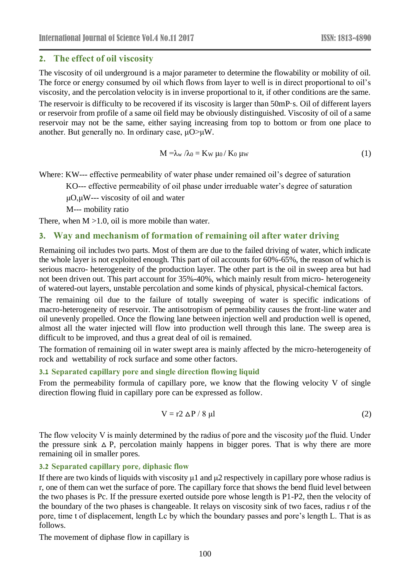### **2. The effect of oil viscosity**

The viscosity of oil underground is a major parameter to determine the flowability or mobility of oil. The force or energy consumed by oil which flows from layer to well is in direct proportional to oil's viscosity, and the percolation velocity is in inverse proportional to it, if other conditions are the same. The reservoir is difficulty to be recovered if its viscosity is larger than 50mP·s. Oil of different layers or reservoir from profile of a same oil field may be obviously distinguished. Viscosity of oil of a same reservoir may not be the same, either saying increasing from top to bottom or from one place to another. But generally no. In ordinary case, μO>μW.

$$
M = \lambda_w / \lambda_0 = K_w \mu_0 / K_0 \mu_w
$$
 (1)

Where: KW--- effective permeability of water phase under remained oil's degree of saturation

KO--- effective permeability of oil phase under irreduable water's degree of saturation

μO,μW--- viscosity of oil and water

M--- mobility ratio

There, when  $M > 1.0$ , oil is more mobile than water.

### **3. Way and mechanism of formation of remaining oil after water driving**

Remaining oil includes two parts. Most of them are due to the failed driving of water, which indicate the whole layer is not exploited enough. This part of oil accounts for 60%-65%, the reason of which is serious macro- heterogeneity of the production layer. The other part is the oil in sweep area but had not been driven out. This part account for 35%-40%, which mainly result from micro- heterogeneity of watered-out layers, unstable percolation and some kinds of physical, physical-chemical factors.

The remaining oil due to the failure of totally sweeping of water is specific indications of macro-heterogeneity of reservoir. The antisotropism of permeability causes the front-line water and oil unevenly propelled. Once the flowing lane between injection well and production well is opened, almost all the water injected will flow into production well through this lane. The sweep area is difficult to be improved, and thus a great deal of oil is remained.

The formation of remaining oil in water swept area is mainly affected by the micro-heterogeneity of rock and wettability of rock surface and some other factors.

#### **3.1 Separated capillary pore and single direction flowing liquid**

From the permeability formula of capillary pore, we know that the flowing velocity V of single direction flowing fluid in capillary pore can be expressed as follow.

$$
V = r2 \Delta P / 8 \mu l \tag{2}
$$

The flow velocity V is mainly determined by the radius of pore and the viscosity μof the fluid. Under the pressure sink  $\Delta P$ , percolation mainly happens in bigger pores. That is why there are more remaining oil in smaller pores.

#### **3.2 Separated capillary pore, diphasic flow**

If there are two kinds of liquids with viscosity  $\mu$ 1 and  $\mu$ 2 respectively in capillary pore whose radius is r, one of them can wet the surface of pore. The capillary force that shows the bend fluid level between the two phases is Pc. If the pressure exerted outside pore whose length is P1-P2, then the velocity of the boundary of the two phases is changeable. It relays on viscosity sink of two faces, radius r of the pore, time t of displacement, length Lc by which the boundary passes and pore's length L. That is as follows.

The movement of diphase flow in capillary is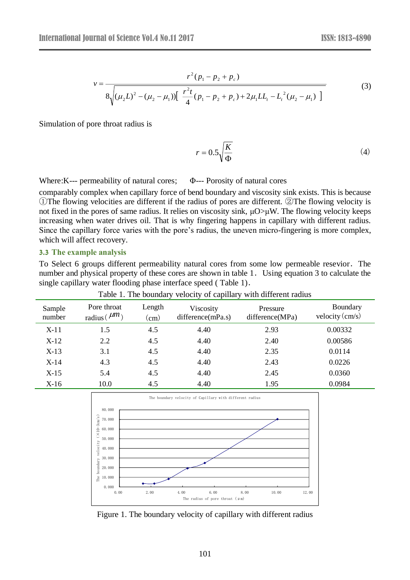$$
v = \frac{r^2 (p_1 - p_2 + p_c)}{8 \sqrt{(\mu_2 L)^2 - (\mu_2 - \mu_1) [\frac{r^2 t}{4} (p_1 - p_2 + p_c) + 2 \mu_1 L L_t - L_t^2 (\mu_2 - \mu_1)]}}
$$
(3)

Simulation of pore throat radius is

$$
r = 0.5\sqrt{\frac{K}{\Phi}}\tag{4}
$$

Where: K--- permeability of natural cores;  $\Phi$ --- Porosity of natural cores

comparably complex when capillary force of bend boundary and viscosity sink exists. This is because ①The flowing velocities are different if the radius of pores are different. ②The flowing velocity is not fixed in the pores of same radius. It relies on viscosity sink, μO>μW. The flowing velocity keeps increasing when water drives oil. That is why fingering happens in capillary with different radius. Since the capillary force varies with the pore's radius, the uneven micro-fingering is more complex, which will affect recovery.

#### **3.3 The example analysis**

To Select 6 groups different permeability natural cores from some low permeable resevior.The number and physical property of these cores are shown in table 1. Using equation 3 to calculate the single capillary water flooding phase interface speed ( Table 1).

| Sample<br>number | Pore throat<br>radius ( $\mu m$ ) | Length<br>$\rm (cm)$ | Viscosity<br>difference(mPa.s) | Pressure<br>difference(MPa) | Boundary<br>velocity $\langle$ cm/s $\rangle$ |
|------------------|-----------------------------------|----------------------|--------------------------------|-----------------------------|-----------------------------------------------|
| $X-11$           | 1.5                               | 4.5                  | 4.40                           | 2.93                        | 0.00332                                       |
| X-12             | 2.2                               | 4.5                  | 4.40                           | 2.40                        | 0.00586                                       |
| $X-13$           | 3.1                               | 4.5                  | 4.40                           | 2.35                        | 0.0114                                        |
| X-14             | 4.3                               | 4.5                  | 4.40                           | 2.43                        | 0.0226                                        |
| X-15             | 5.4                               | 4.5                  | 4.40                           | 2.45                        | 0.0360                                        |
| X-16             | 10.0                              | 4.5                  | 4.40                           | 1.95                        | 0.0984                                        |

Table 1. The boundary velocity of capillary with different radius



Figure 1. The boundary velocity of capillary with different radius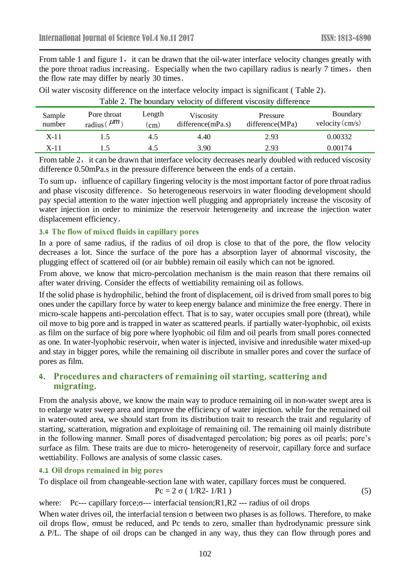From table 1 and figure 1, it can be drawn that the oil-water interface velocity changes greatly with the pore throat radius increasing. Especially when the two capillary radius is nearly 7 times, then the flow rate may differ by nearly 30 times.

|                  |                                  |                      | Table 2. The boundary velocity of different viscosity difference |                             |                                               |
|------------------|----------------------------------|----------------------|------------------------------------------------------------------|-----------------------------|-----------------------------------------------|
| Sample<br>number | Pore throat<br>radius ( $\mu$ m) | Length<br>$\rm (cm)$ | Viscosity<br>difference(mPa.s)                                   | Pressure<br>difference(MPa) | Boundary<br>velocity $\langle$ cm/s $\rangle$ |
| $X-11$           |                                  | 4.5                  | 4.40                                                             | 2.93                        | 0.00332                                       |
| X-11             |                                  | 4.5                  | 3.90                                                             | 2.93                        | 0.00174                                       |

Oil water viscosity difference on the interface velocity impact is significant ( Table 2).

From table 2, it can be drawn that interface velocity decreases nearly doubled with reduced viscosity difference 0.50mPa.s in the pressure difference between the ends of a certain.

To sum up, influence of capillary fingering velocity is the most important factor of pore throat radius and phase viscosity difference. So heterogeneous reservoirs in water flooding development should pay special attention to the water injection well plugging and appropriately increase the viscosity of water injection in order to minimize the reservoir heterogeneity and increase the injection water displacement efficiency.

#### **3.4 The flow of mixed fluids in capillary pores**

In a pore of same radius, if the radius of oil drop is close to that of the pore, the flow velocity decreases a lot. Since the surface of the pore has a absorption layer of abnormal viscosity, the plugging effect of scattered oil (or air bubble) remain oil easily which can not be ignored.

From above, we know that micro-percolation mechanism is the main reason that there remains oil after water driving. Consider the effects of wettiability remaining oil as follows.

If the solid phase is hydrophilic, behind the front of displacement, oil is drived from small pores to big ones under the capillary force by water to keep energy balance and minimize the free energy. There in micro-scale happens anti-percolation effect. That is to say, water occupies small pore (threat), while oil move to big pore and is trapped in water as scattered pearls. if partially water-lyophobic, oil exists as film on the surface of big pore where lyophobic oil film and oil pearls from small pores connected as one. In water-lyophobic reservoir, when water is injected, invisive and inredusible water mixed-up and stay in bigger pores, while the remaining oil discribute in smaller pores and cover the surface of pores as film.

### **4. Procedures and characters of remaining oil starting, scattering and migrating.**

From the analysis above, we know the main way to produce remaining oil in non-water swept area is to enlarge water sweep area and improve the efficiency of water injection. while for the remained oil in water-outed area, we should start from its distribution trait to research the trait and regularity of starting, scatteration, migration and exploitage of remaining oil. The remaining oil mainly distribute in the following manner. Small pores of disadventaged percolation; big pores as oil pearls; pore's surface as film. These traits are due to micro- heterogeneity of reservoir, capillary force and surface wettiability. Follows are analysis of some classic cases.

### **4.1 Oil drops remained in big pores**

To displace oil from changeable-section lane with water, capillary forces must be conquered.

$$
Pc = 2 \sigma (1/R2 - 1/R1)
$$
 (5)

where: Pc--- capillary force; σ--- interfacial tension; R1, R2 --- radius of oil drops

When water drives oil, the interfacial tension  $\sigma$  between two phases is as follows. Therefore, to make oil drops flow, σmust be reduced, and Pc tends to zero, smaller than hydrodynamic pressure sink  $\triangle$  P/L. The shape of oil drops can be changed in any way, thus they can flow through pores and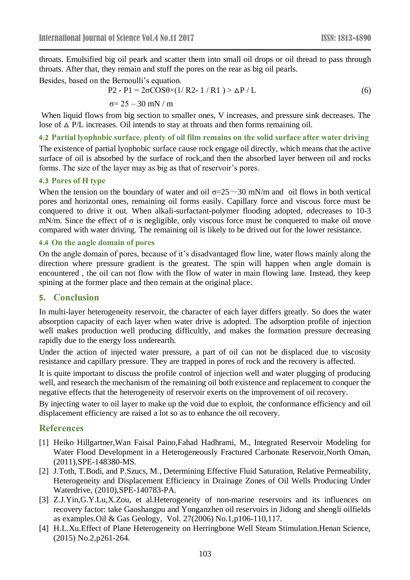throats. Emulsified big oil peark and scatter them into small oil drops or oil thread to pass through throats. After that, they remain and stuff the pores on the rear as big oil pearls.

Besides, based on the Bernoulli's equation.

forms. The size of the layer may as big as that of reservoir's pores.

$$
P2 - P1 = 2\sigma\cos\theta \times (1/ R2 - 1/R1) > \Delta P / L
$$
  
\n
$$
\sigma = 25 - 30 \text{ mN} / \text{m}
$$
 (6)

When liquid flows from big section to smaller ones, V increases, and pressure sink decreases. The lose of  $\triangle$  P/L increases. Oil intends to stay at throats and then forms remaining oil.

**4.2 Partial lyophobic surface, plenty of oil film remains on the solid surface after water driving**  The existence of partial lyophobic surface cause rock engage oil directly, which means that the active surface of oil is absorbed by the surface of rock,and then the absorbed layer between oil and rocks

### **4.3 Pores of H type**

When the tension on the boundary of water and oil  $\sigma = 25 \sim 30$  mN/m and oil flows in both vertical pores and horizontal ones, remaining oil forms easily. Capillary force and viscous force must be conquered to drive it out. When alkali-surfactant-polymer flooding adopted, σdecreases to 10-3 mN/m. Since the effect of  $\sigma$  is negligible, only viscous force must be conquered to make oil move compared with water driving. The remaining oil is likely to be drived out for the lower resistance.

#### **4.4 On the angle domain of pores**

On the angle domain of pores, because of it's disadvantaged flow line, water flows mainly along the direction where pressure gradient is the greatest. The spin will happen when angle domain is encountered , the oil can not flow with the flow of water in main flowing lane. Instead, they keep spining at the former place and then remain at the original place.

### **5. Conclusion**

In multi-layer heterogeneity reservoir, the character of each layer differs greatly. So does the water absorption capacity of each layer when water drive is adopted. The adsorption profile of injection well makes production well producing difficultly, and makes the formation pressure decreasing rapidly due to the energy loss underearth.

Under the action of injected water pressure, a part of oil can not be displaced due to viscosity resistance and capillary pressure. They are trapped in pores of rock and the recovery is affected.

It is quite important to discuss the profile control of injection well and water plugging of producing well, and research the mechanism of the remaining oil both existence and replacement to conquer the negative effects that the heterogeneity of reservoir exerts on the improvement of oil recovery.

By injecting water to oil layer to make up the void due to exploit, the conformance efficiency and oil displacement efficiency are raised a lot so as to enhance the oil recovery.

# **References**

- [1] Heiko Hillgartner,Wan Faisal Paino,Fahad Hadhrami, M., Integrated Reservoir Modeling for Water Flood Development in a Heterogeneously Fractured Carbonate Reservoir,North Oman, (2011),SPE-148380-MS.
- [2] J.Toth, T.Bodi, and P.Szucs, M., Determining Effective Fluid Saturation, Relative Permeability, Heterogeneity and Displacement Efficiency in Drainage Zones of Oil Wells Producing Under Waterdrive, (2010),SPE-140783-PA.
- [3] Z.J.Yin, G.Y.Lu, X.Zou, et al. Heterogeneity of non-marine reservoirs and its influences on recovery factor: take Gaoshangpu and Yonganzhen oil reservoirs in Jidong and shengli oilfields as examples.Oil & Gas Geology, Vol. 27(2006) No.1,p106-110,117.
- [4] H.L.Xu.Effect of Plane Heterogeneity on Herringbone Well Steam Stimulation.Henan Science, (2015) No.2,p261-264.